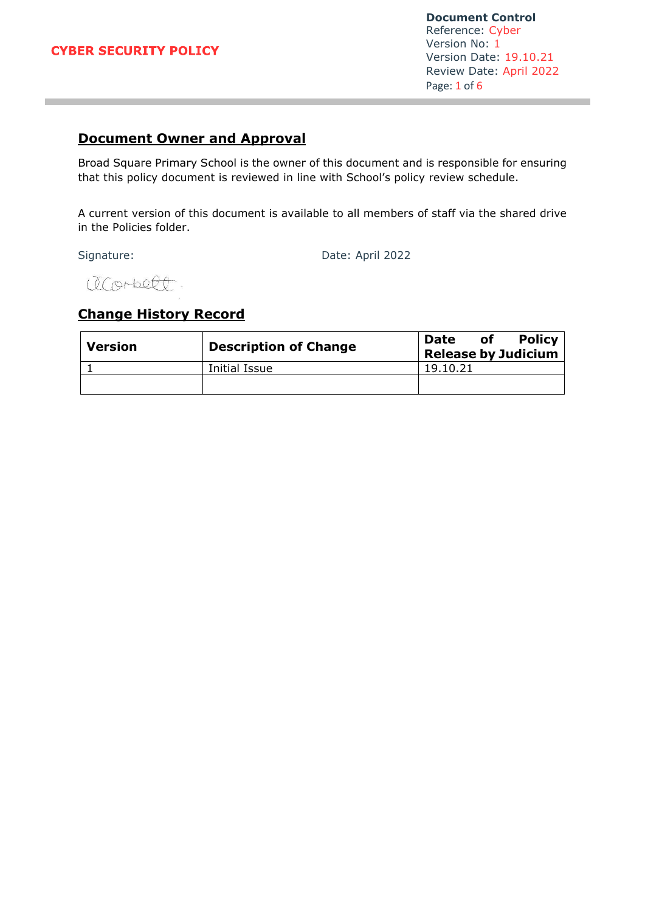#### **CYBER SECURITY POLICY**

**Document Control** Reference: Cyber Version No: 1 Version Date: 19.10.21 Review Date: April 2022 Page: 1 of 6

# **Document Owner and Approval**

Broad Square Primary School is the owner of this document and is responsible for ensuring that this policy document is reviewed in line with School's policy review schedule.

A current version of this document is available to all members of staff via the shared drive in the Policies folder.

Signature: Date: April 2022

acorbett.

## **Change History Record**

| <b>Version</b> | <b>Description of Change</b> | Policy  <br>Date<br>οf<br><b>Release by Judicium</b> |
|----------------|------------------------------|------------------------------------------------------|
|                | Initial Issue                | 19.10.21                                             |
|                |                              |                                                      |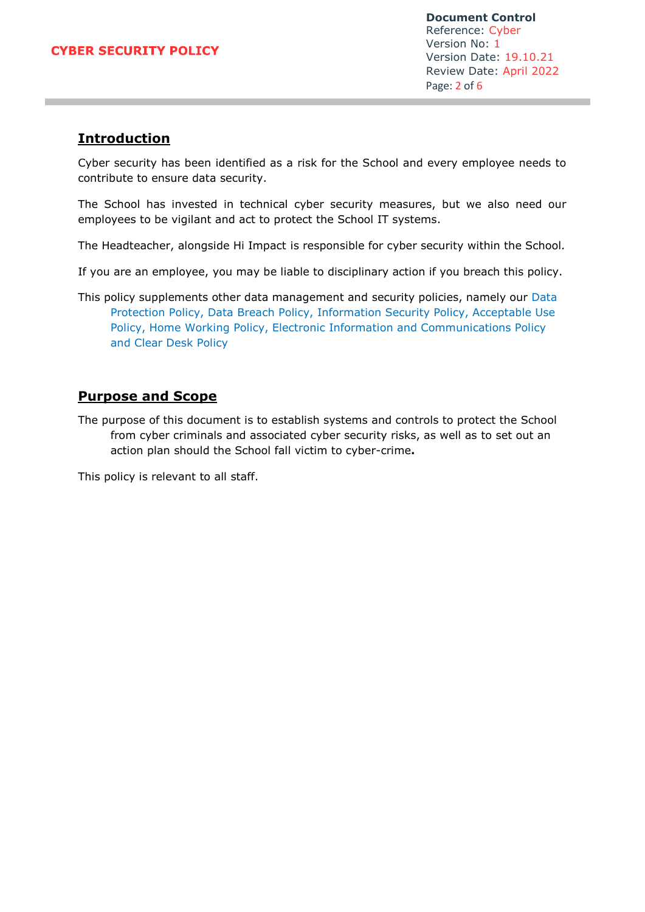**Document Control** Reference: Cyber Version No: 1 Version Date: 19.10.21 Review Date: April 2022 Page: 2 of 6

## **Introduction**

Cyber security has been identified as a risk for the School and every employee needs to contribute to ensure data security.

The School has invested in technical cyber security measures, but we also need our employees to be vigilant and act to protect the School IT systems.

The Headteacher, alongside Hi Impact is responsible for cyber security within the School*.*

If you are an employee, you may be liable to disciplinary action if you breach this policy.

This policy supplements other data management and security policies, namely our Data Protection Policy, Data Breach Policy, Information Security Policy, Acceptable Use Policy, Home Working Policy, Electronic Information and Communications Policy and Clear Desk Policy

### **Purpose and Scope**

The purpose of this document is to establish systems and controls to protect the School from cyber criminals and associated cyber security risks, as well as to set out an action plan should the School fall victim to cyber-crime**.**

This policy is relevant to all staff.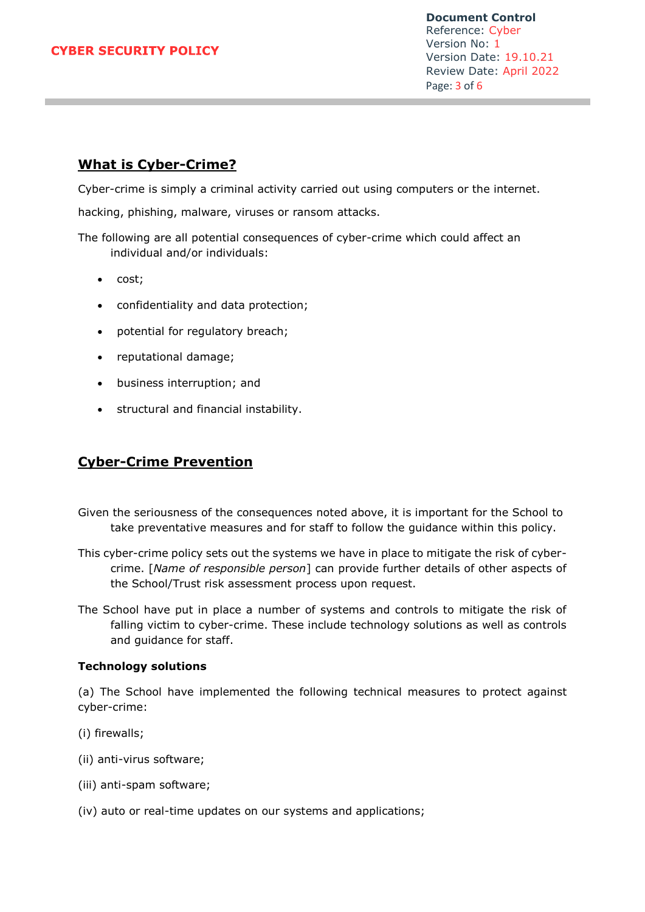**Document Control** Reference: Cyber Version No: 1 Version Date: 19.10.21 Review Date: April 2022 Page: 3 of 6

## **What is Cyber-Crime?**

Cyber-crime is simply a criminal activity carried out using computers or the internet.

hacking, phishing, malware, viruses or ransom attacks.

The following are all potential consequences of cyber-crime which could affect an individual and/or individuals:

- cost;
- confidentiality and data protection;
- potential for regulatory breach;
- reputational damage;
- business interruption; and
- structural and financial instability.

### **Cyber-Crime Prevention**

- Given the seriousness of the consequences noted above, it is important for the School to take preventative measures and for staff to follow the guidance within this policy.
- This cyber-crime policy sets out the systems we have in place to mitigate the risk of cybercrime. [*Name of responsible person*] can provide further details of other aspects of the School/Trust risk assessment process upon request.
- The School have put in place a number of systems and controls to mitigate the risk of falling victim to cyber-crime. These include technology solutions as well as controls and guidance for staff.

#### **Technology solutions**

(a) The School have implemented the following technical measures to protect against cyber-crime:

- (i) firewalls;
- (ii) anti-virus software;
- (iii) anti-spam software;
- (iv) auto or real-time updates on our systems and applications;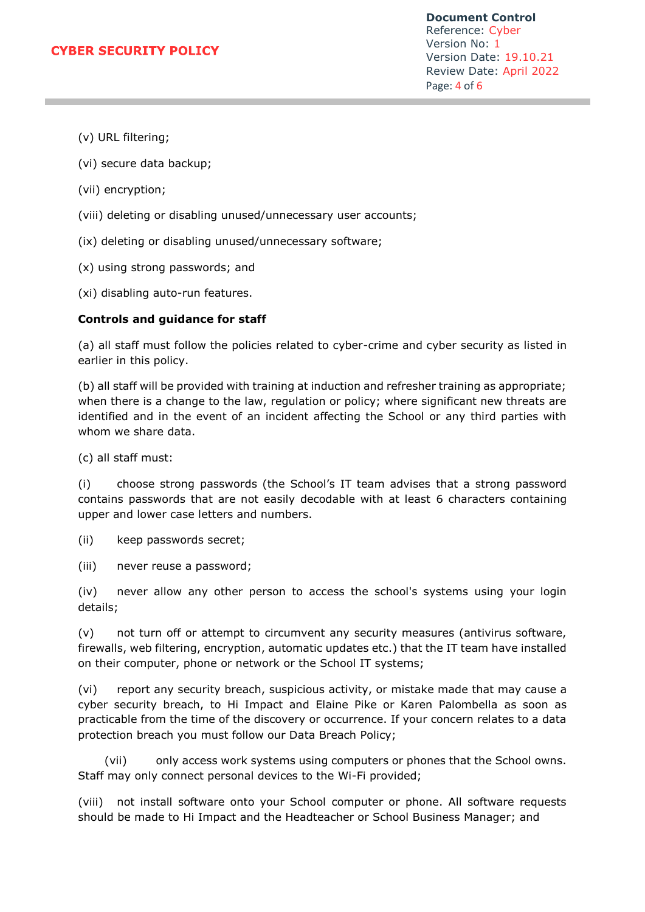**Document Control** Reference: Cyber Version No: 1 Version Date: 19.10.21 Review Date: April 2022 Page: 4 of 6

- (v) URL filtering;
- (vi) secure data backup;
- (vii) encryption;
- (viii) deleting or disabling unused/unnecessary user accounts;
- (ix) deleting or disabling unused/unnecessary software;
- (x) using strong passwords; and
- (xi) disabling auto-run features.

#### **Controls and guidance for staff**

(a) all staff must follow the policies related to cyber-crime and cyber security as listed in earlier in this policy.

(b) all staff will be provided with training at induction and refresher training as appropriate; when there is a change to the law, regulation or policy; where significant new threats are identified and in the event of an incident affecting the School or any third parties with whom we share data.

(c) all staff must:

(i) choose strong passwords (the School's IT team advises that a strong password contains passwords that are not easily decodable with at least 6 characters containing upper and lower case letters and numbers.

(ii) keep passwords secret;

(iii) never reuse a password;

(iv) never allow any other person to access the school's systems using your login details;

(v) not turn off or attempt to circumvent any security measures (antivirus software, firewalls, web filtering, encryption, automatic updates etc.) that the IT team have installed on their computer, phone or network or the School IT systems;

(vi) report any security breach, suspicious activity, or mistake made that may cause a cyber security breach, to Hi Impact and Elaine Pike or Karen Palombella as soon as practicable from the time of the discovery or occurrence. If your concern relates to a data protection breach you must follow our Data Breach Policy;

 (vii) only access work systems using computers or phones that the School owns. Staff may only connect personal devices to the Wi-Fi provided;

(viii) not install software onto your School computer or phone. All software requests should be made to Hi Impact and the Headteacher or School Business Manager; and